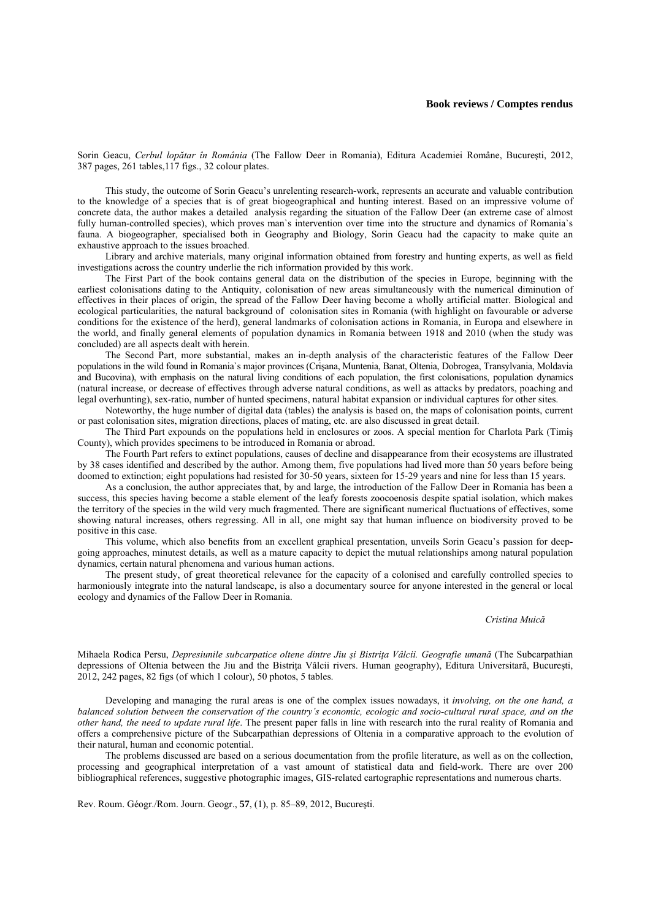## **Book reviews / Comptes rendus**

Sorin Geacu, *Cerbul lopătar în România* (The Fallow Deer in Romania), Editura Academiei Române, Bucureşti, 2012, 387 pages, 261 tables,117 figs., 32 colour plates.

This study, the outcome of Sorin Geacu's unrelenting research-work, represents an accurate and valuable contribution to the knowledge of a species that is of great biogeographical and hunting interest. Based on an impressive volume of concrete data, the author makes a detailed analysis regarding the situation of the Fallow Deer (an extreme case of almost fully human-controlled species), which proves man's intervention over time into the structure and dynamics of Romania's fauna. A biogeographer, specialised both in Geography and Biology, Sorin Geacu had the capacity to make quite an exhaustive approach to the issues broached.

Library and archive materials, many original information obtained from forestry and hunting experts, as well as field investigations across the country underlie the rich information provided by this work.

The First Part of the book contains general data on the distribution of the species in Europe, beginning with the earliest colonisations dating to the Antiquity, colonisation of new areas simultaneously with the numerical diminution of effectives in their places of origin, the spread of the Fallow Deer having become a wholly artificial matter. Biological and ecological particularities, the natural background of colonisation sites in Romania (with highlight on favourable or adverse conditions for the existence of the herd), general landmarks of colonisation actions in Romania, in Europa and elsewhere in the world, and finally general elements of population dynamics in Romania between 1918 and 2010 (when the study was concluded) are all aspects dealt with herein.

The Second Part, more substantial, makes an in-depth analysis of the characteristic features of the Fallow Deer populations in the wild found in Romania`s major provinces (Crişana, Muntenia, Banat, Oltenia, Dobrogea, Transylvania, Moldavia and Bucovina), with emphasis on the natural living conditions of each population, the first colonisations, population dynamics (natural increase, or decrease of effectives through adverse natural conditions, as well as attacks by predators, poaching and legal overhunting), sex-ratio, number of hunted specimens, natural habitat expansion or individual captures for other sites.

Noteworthy, the huge number of digital data (tables) the analysis is based on, the maps of colonisation points, current or past colonisation sites, migration directions, places of mating, etc. are also discussed in great detail.

The Third Part expounds on the populations held in enclosures or zoos. A special mention for Charlota Park (Timiş County), which provides specimens to be introduced in Romania or abroad.

The Fourth Part refers to extinct populations, causes of decline and disappearance from their ecosystems are illustrated by 38 cases identified and described by the author. Among them, five populations had lived more than 50 years before being doomed to extinction; eight populations had resisted for 30-50 years, sixteen for 15-29 years and nine for less than 15 years.

As a conclusion, the author appreciates that, by and large, the introduction of the Fallow Deer in Romania has been a success, this species having become a stable element of the leafy forests zoocoenosis despite spatial isolation, which makes the territory of the species in the wild very much fragmented. There are significant numerical fluctuations of effectives, some showing natural increases, others regressing. All in all, one might say that human influence on biodiversity proved to be positive in this case.

This volume, which also benefits from an excellent graphical presentation, unveils Sorin Geacu's passion for deepgoing approaches, minutest details, as well as a mature capacity to depict the mutual relationships among natural population dynamics, certain natural phenomena and various human actions.

The present study, of great theoretical relevance for the capacity of a colonised and carefully controlled species to harmoniously integrate into the natural landscape, is also a documentary source for anyone interested in the general or local ecology and dynamics of the Fallow Deer in Romania.

## *Cristina Muică*

Mihaela Rodica Persu, *Depresiunile subcarpatice oltene dintre Jiu şi Bistriţa Vâlcii. Geografie umană* (The Subcarpathian depressions of Oltenia between the Jiu and the Bistrita Vâlcii rivers. Human geography), Editura Universitară, București, 2012, 242 pages, 82 figs (of which 1 colour), 50 photos, 5 tables.

Developing and managing the rural areas is one of the complex issues nowadays, it *involving, on the one hand, a balanced solution between the conservation of the country's economic, ecologic and socio-cultural rural space, and on the other hand, the need to update rural life*. The present paper falls in line with research into the rural reality of Romania and offers a comprehensive picture of the Subcarpathian depressions of Oltenia in a comparative approach to the evolution of their natural, human and economic potential.

The problems discussed are based on a serious documentation from the profile literature, as well as on the collection, processing and geographical interpretation of a vast amount of statistical data and field-work. There are over 200 bibliographical references, suggestive photographic images, GIS-related cartographic representations and numerous charts.

Rev. Roum. Géogr./Rom. Journ. Geogr., **57**, (1), p. 85–89, 2012, Bucureşti.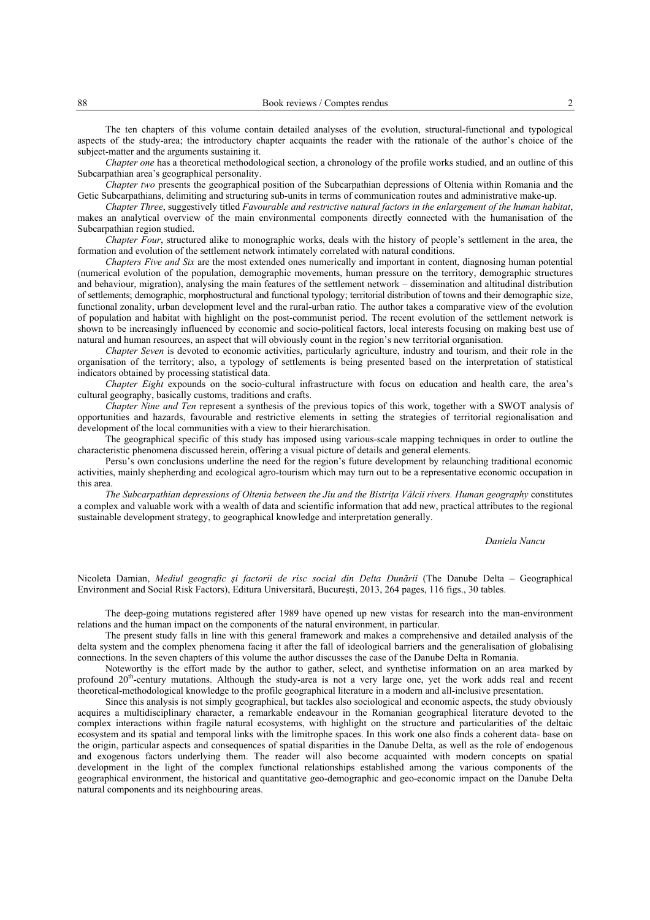The ten chapters of this volume contain detailed analyses of the evolution, structural-functional and typological aspects of the study-area; the introductory chapter acquaints the reader with the rationale of the author's choice of the subject-matter and the arguments sustaining it.

*Chapter one* has a theoretical methodological section, a chronology of the profile works studied, and an outline of this Subcarpathian area's geographical personality.

*Chapter two* presents the geographical position of the Subcarpathian depressions of Oltenia within Romania and the Getic Subcarpathians, delimiting and structuring sub-units in terms of communication routes and administrative make-up.

*Chapter Three*, suggestively titled *Favourable and restrictive natural factors in the enlargement of the human habitat*, makes an analytical overview of the main environmental components directly connected with the humanisation of the Subcarpathian region studied.

*Chapter Four*, structured alike to monographic works, deals with the history of people's settlement in the area, the formation and evolution of the settlement network intimately correlated with natural conditions.

*Chapters Five and Six* are the most extended ones numerically and important in content, diagnosing human potential (numerical evolution of the population, demographic movements, human pressure on the territory, demographic structures and behaviour, migration), analysing the main features of the settlement network – dissemination and altitudinal distribution of settlements; demographic, morphostructural and functional typology; territorial distribution of towns and their demographic size, functional zonality, urban development level and the rural-urban ratio. The author takes a comparative view of the evolution of population and habitat with highlight on the post-communist period. The recent evolution of the settlement network is shown to be increasingly influenced by economic and socio-political factors, local interests focusing on making best use of natural and human resources, an aspect that will obviously count in the region's new territorial organisation.

*Chapter Seven* is devoted to economic activities, particularly agriculture, industry and tourism, and their role in the organisation of the territory; also, a typology of settlements is being presented based on the interpretation of statistical indicators obtained by processing statistical data.

*Chapter Eight* expounds on the socio-cultural infrastructure with focus on education and health care, the area's cultural geography, basically customs, traditions and crafts.

*Chapter Nine and Ten* represent a synthesis of the previous topics of this work, together with a SWOT analysis of opportunities and hazards, favourable and restrictive elements in setting the strategies of territorial regionalisation and development of the local communities with a view to their hierarchisation.

The geographical specific of this study has imposed using various-scale mapping techniques in order to outline the characteristic phenomena discussed herein, offering a visual picture of details and general elements.

Persu's own conclusions underline the need for the region's future development by relaunching traditional economic activities, mainly shepherding and ecological agro-tourism which may turn out to be a representative economic occupation in this area.

*The Subcarpathian depressions of Oltenia between the Jiu and the Bistriţa Vâlcii rivers. Human geography* constitutes a complex and valuable work with a wealth of data and scientific information that add new, practical attributes to the regional sustainable development strategy, to geographical knowledge and interpretation generally.

## *Daniela Nancu*

Nicoleta Damian, *Mediul geografic şi factorii de risc social din Delta Dunării* (The Danube Delta – Geographical Environment and Social Risk Factors), Editura Universitară, Bucureşti, 2013, 264 pages, 116 figs., 30 tables.

The deep-going mutations registered after 1989 have opened up new vistas for research into the man-environment relations and the human impact on the components of the natural environment, in particular.

The present study falls in line with this general framework and makes a comprehensive and detailed analysis of the delta system and the complex phenomena facing it after the fall of ideological barriers and the generalisation of globalising connections. In the seven chapters of this volume the author discusses the case of the Danube Delta in Romania.

Noteworthy is the effort made by the author to gather, select, and synthetise information on an area marked by profound 20<sup>th</sup>-century mutations. Although the study-area is not a very large one, yet the work adds real and recent theoretical-methodological knowledge to the profile geographical literature in a modern and all-inclusive presentation.

Since this analysis is not simply geographical, but tackles also sociological and economic aspects, the study obviously acquires a multidisciplinary character, a remarkable endeavour in the Romanian geographical literature devoted to the complex interactions within fragile natural ecosystems, with highlight on the structure and particularities of the deltaic ecosystem and its spatial and temporal links with the limitrophe spaces. In this work one also finds a coherent data- base on the origin, particular aspects and consequences of spatial disparities in the Danube Delta, as well as the role of endogenous and exogenous factors underlying them. The reader will also become acquainted with modern concepts on spatial development in the light of the complex functional relationships established among the various components of the geographical environment, the historical and quantitative geo-demographic and geo-economic impact on the Danube Delta natural components and its neighbouring areas.